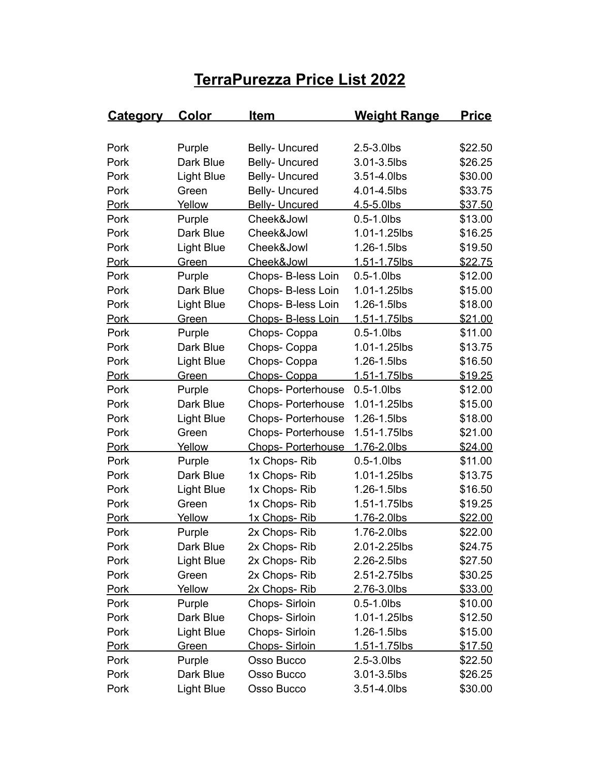## **TerraPurezza Price List 2022**

| <b>Category</b> | <u>Color</u>      | <u>Item</u>               | <b>Weight Range</b> | <u>Price</u>   |
|-----------------|-------------------|---------------------------|---------------------|----------------|
|                 |                   |                           |                     |                |
| Pork            | Purple            | <b>Belly- Uncured</b>     | 2.5-3.0lbs          | \$22.50        |
| Pork            | Dark Blue         | Belly- Uncured            | 3.01-3.5lbs         | \$26.25        |
| Pork            | <b>Light Blue</b> | Belly- Uncured            | 3.51-4.0lbs         | \$30.00        |
| Pork            | Green             | Belly- Uncured            | 4.01-4.5lbs         | \$33.75        |
| <b>Pork</b>     | Yellow            | <b>Belly- Uncured</b>     | 4.5-5.0lbs          | \$37.50        |
| Pork            | Purple            | Cheek&Jowl                | $0.5 - 1.0$ lbs     | \$13.00        |
| Pork            | Dark Blue         | Cheek&Jowl                | 1.01-1.25lbs        | \$16.25        |
| Pork            | <b>Light Blue</b> | Cheek&Jowl                | 1.26-1.5lbs         | \$19.50        |
| <b>Pork</b>     | Green             | Cheek&Jowl                | 1.51-1.75lbs        | \$22.75        |
| Pork            | Purple            | Chops- B-less Loin        | $0.5 - 1.0$ lbs     | \$12.00        |
| Pork            | Dark Blue         | Chops- B-less Loin        | 1.01-1.25lbs        | \$15.00        |
| Pork            | <b>Light Blue</b> | Chops- B-less Loin        | 1.26-1.5lbs         | \$18.00        |
| <b>Pork</b>     | Green             | Chops- B-less Loin        | 1.51-1.75lbs        | \$21.00        |
| Pork            | Purple            | Chops-Coppa               | $0.5 - 1.0$ lbs     | \$11.00        |
| Pork            | Dark Blue         | Chops-Coppa               | 1.01-1.25lbs        | \$13.75        |
| Pork            | <b>Light Blue</b> | Chops-Coppa               | 1.26-1.5lbs         | \$16.50        |
| <b>Pork</b>     | Green             | Chops-Coppa               | 1.51-1.75lbs        | \$19.25        |
| Pork            | Purple            | <b>Chops-Porterhouse</b>  | $0.5 - 1.0$ lbs     | \$12.00        |
| Pork            | Dark Blue         | <b>Chops-Porterhouse</b>  | 1.01-1.25lbs        | \$15.00        |
| Pork            | <b>Light Blue</b> | <b>Chops-Porterhouse</b>  | 1.26-1.5lbs         | \$18.00        |
| Pork            | Green             | <b>Chops-Porterhouse</b>  | 1.51-1.75lbs        | \$21.00        |
| <b>Pork</b>     | Yellow            | <b>Chops- Porterhouse</b> | 1.76-2.0lbs         | \$24.00        |
| Pork            | Purple            | 1x Chops-Rib              | $0.5 - 1.0$ lbs     | \$11.00        |
| Pork            | Dark Blue         | 1x Chops-Rib              | 1.01-1.25lbs        | \$13.75        |
| Pork            | <b>Light Blue</b> | 1x Chops-Rib              | 1.26-1.5lbs         | \$16.50        |
| Pork            | Green             | 1x Chops-Rib              | 1.51-1.75lbs        | \$19.25        |
| <b>Pork</b>     | Yellow            | 1x Chops-Rib              | 1.76-2.0lbs         | \$22.00        |
| Pork            | Purple            | 2x Chops-Rib              | 1.76-2.0lbs         | \$22.00        |
| Pork            | Dark Blue         | 2x Chops-Rib              | 2.01-2.25lbs        | \$24.75        |
| Pork            | <b>Light Blue</b> | 2x Chops-Rib              | 2.26-2.5lbs         | \$27.50        |
| Pork            | Green             | 2x Chops-Rib              | 2.51-2.75lbs        | \$30.25        |
| <u>Pork</u>     | Yellow            | 2x Chops-Rib              | 2.76-3.0lbs         | <u>\$33.00</u> |
| Pork            | Purple            | Chops-Sirloin             | $0.5 - 1.0$ lbs     | \$10.00        |
| Pork            | Dark Blue         | Chops-Sirloin             | 1.01-1.25lbs        | \$12.50        |
| Pork            | <b>Light Blue</b> | Chops- Sirloin            | 1.26-1.5lbs         | \$15.00        |
| <b>Pork</b>     | Green             | Chops-Sirloin             | 1.51-1.75lbs        | \$17.50        |
| Pork            | Purple            | Osso Bucco                | 2.5-3.0lbs          | \$22.50        |
| Pork            | Dark Blue         | Osso Bucco                | 3.01-3.5lbs         | \$26.25        |
| Pork            | <b>Light Blue</b> | Osso Bucco                | 3.51-4.0lbs         | \$30.00        |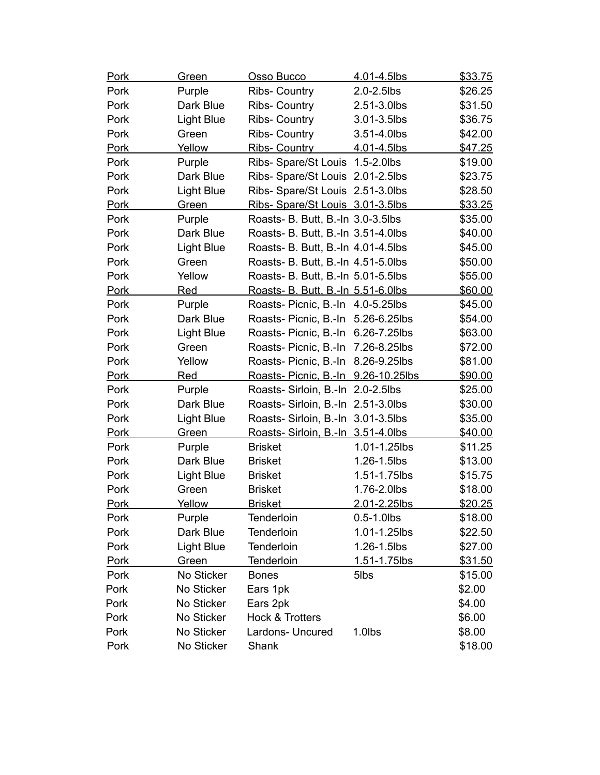| <b>Pork</b> | <b>Green</b>      | Osso Bucco                          | 4.01-4.5lbs     | \$33.75 |
|-------------|-------------------|-------------------------------------|-----------------|---------|
| Pork        | Purple            | <b>Ribs- Country</b>                | 2.0-2.5lbs      | \$26.25 |
| Pork        | Dark Blue         | Ribs- Country                       | 2.51-3.0lbs     | \$31.50 |
| Pork        | <b>Light Blue</b> | Ribs- Country                       | 3.01-3.5lbs     | \$36.75 |
| Pork        | Green             | Ribs- Country                       | 3.51-4.0lbs     | \$42.00 |
| Pork        | Yellow            | Ribs- Country                       | 4.01-4.5lbs     | \$47.25 |
| Pork        | Purple            | Ribs- Spare/St Louis 1.5-2.0lbs     |                 | \$19.00 |
| Pork        | Dark Blue         | Ribs- Spare/St Louis 2.01-2.5lbs    |                 | \$23.75 |
| Pork        | <b>Light Blue</b> | Ribs- Spare/St Louis 2.51-3.0lbs    |                 | \$28.50 |
| <b>Pork</b> | Green             | Ribs- Spare/St Louis 3.01-3.5lbs    |                 | \$33.25 |
| Pork        | Purple            | Roasts- B. Butt, B.-In 3.0-3.5lbs   |                 | \$35.00 |
| Pork        | Dark Blue         | Roasts- B. Butt, B.-In 3.51-4.0lbs  |                 | \$40.00 |
| Pork        | <b>Light Blue</b> | Roasts- B. Butt, B.-In 4.01-4.5lbs  |                 | \$45.00 |
| Pork        | Green             | Roasts- B. Butt, B.-In 4.51-5.0lbs  |                 | \$50.00 |
| Pork        | Yellow            | Roasts- B. Butt, B.-In 5.01-5.5lbs  |                 | \$55.00 |
| <b>Pork</b> | <u>Red</u>        | Roasts- B. Butt, B.-In 5.51-6.0lbs  |                 | \$60.00 |
| Pork        | Purple            | Roasts- Picnic, B.-In 4.0-5.25lbs   |                 | \$45.00 |
| Pork        | Dark Blue         | Roasts- Picnic, B.-In 5.26-6.25lbs  |                 | \$54.00 |
| Pork        | <b>Light Blue</b> | Roasts- Picnic, B.-In               | 6.26-7.25lbs    | \$63.00 |
| Pork        | Green             | Roasts- Picnic, B.-In               | 7.26-8.25lbs    | \$72.00 |
| Pork        | Yellow            | Roasts- Picnic, B.-In 8.26-9.25lbs  |                 | \$81.00 |
| <b>Pork</b> | <b>Red</b>        | Roasts- Picnic, B.-In 9.26-10.25lbs |                 | \$90.00 |
| Pork        | Purple            | Roasts-Sirloin, B.-In 2.0-2.5lbs    |                 | \$25.00 |
| Pork        | Dark Blue         | Roasts-Sirloin, B.-In 2.51-3.0lbs   |                 | \$30.00 |
| Pork        | <b>Light Blue</b> | Roasts-Sirloin, B.-In 3.01-3.5lbs   |                 | \$35.00 |
| <b>Pork</b> | Green             | Roasts-Sirloin, B.-In 3.51-4.0lbs   |                 | \$40.00 |
| Pork        | Purple            | <b>Brisket</b>                      | 1.01-1.25lbs    | \$11.25 |
| Pork        | Dark Blue         | <b>Brisket</b>                      | 1.26-1.5lbs     | \$13.00 |
| Pork        | <b>Light Blue</b> | <b>Brisket</b>                      | 1.51-1.75lbs    | \$15.75 |
| Pork        | Green             | <b>Brisket</b>                      | 1.76-2.0lbs     | \$18.00 |
| Pork        | Yellow            | <u>Brisket</u>                      | 2.01-2.25lbs    | \$20.25 |
| Pork        | Purple            | Tenderloin                          | $0.5 - 1.0$ lbs | \$18.00 |
| Pork        | Dark Blue         | Tenderloin                          | 1.01-1.25lbs    | \$22.50 |
| Pork        | <b>Light Blue</b> | Tenderloin                          | 1.26-1.5lbs     | \$27.00 |
| <b>Pork</b> | Green             | <b>Tenderloin</b>                   | 1.51-1.75lbs    | \$31.50 |
| Pork        | No Sticker        | <b>Bones</b>                        | 5lbs            | \$15.00 |
| Pork        | No Sticker        | Ears 1pk                            |                 | \$2.00  |
| Pork        | No Sticker        | Ears 2pk                            |                 | \$4.00  |
| Pork        | No Sticker        | <b>Hock &amp; Trotters</b>          |                 | \$6.00  |
| Pork        | No Sticker        | Lardons- Uncured                    | 1.0lbs          | \$8.00  |
| Pork        | No Sticker        | Shank                               |                 | \$18.00 |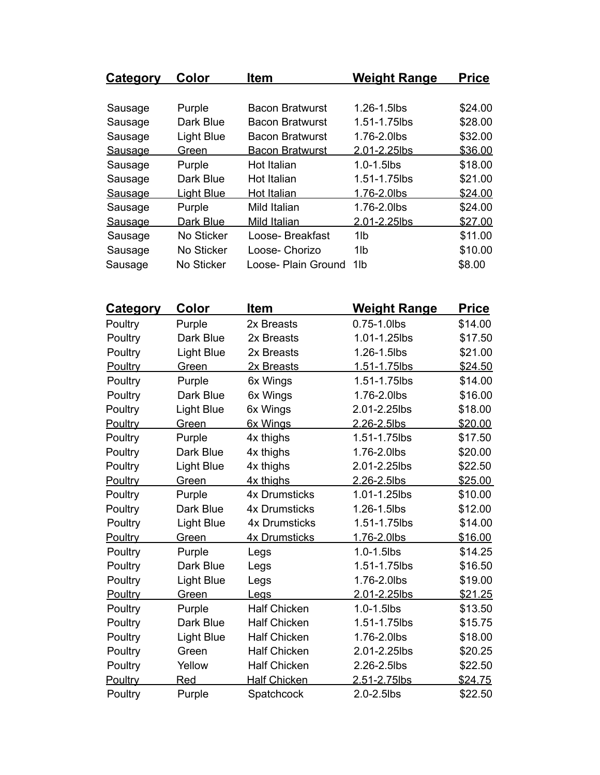| <b>Category</b> | Color             | <b>Item</b>            | <b>Weight Range</b> | <b>Price</b> |
|-----------------|-------------------|------------------------|---------------------|--------------|
|                 |                   |                        |                     |              |
| Sausage         | Purple            | Bacon Bratwurst        | 1.26-1.5lbs         | \$24.00      |
| Sausage         | Dark Blue         | <b>Bacon Bratwurst</b> | 1.51-1.75lbs        | \$28.00      |
| Sausage         | <b>Light Blue</b> | <b>Bacon Bratwurst</b> | 1.76-2.0lbs         | \$32.00      |
| Sausage         | Green             | <b>Bacon Bratwurst</b> | 2.01-2.25lbs        | \$36.00      |
| Sausage         | Purple            | Hot Italian            | $1.0 - 1.5$ lbs     | \$18.00      |
| Sausage         | Dark Blue         | Hot Italian            | 1.51-1.75lbs        | \$21.00      |
| Sausage         | <b>Light Blue</b> | Hot Italian            | 1.76-2.0lbs         | \$24.00      |
| Sausage         | Purple            | Mild Italian           | 1.76-2.0lbs         | \$24.00      |
| <b>Sausage</b>  | Dark Blue         | Mild Italian           | 2.01-2.25lbs        | \$27.00      |
| Sausage         | No Sticker        | Loose-Breakfast        | 1lb                 | \$11.00      |
| Sausage         | No Sticker        | Loose- Chorizo         | 1lb                 | \$10.00      |
| Sausage         | No Sticker        | Loose- Plain Ground    | 1lb                 | \$8.00       |

| <u>Category</u> | Color             | <b>Item</b>          | <u>Weight Range</u> | Price          |
|-----------------|-------------------|----------------------|---------------------|----------------|
| Poultry         | Purple            | 2x Breasts           | 0.75-1.0lbs         | \$14.00        |
| Poultry         | Dark Blue         | 2x Breasts           | 1.01-1.25lbs        | \$17.50        |
| Poultry         | <b>Light Blue</b> | 2x Breasts           | 1.26-1.5lbs         | \$21.00        |
| Poultry         | Green             | 2x Breasts           | 1.51-1.75lbs        | \$24.50        |
| Poultry         | Purple            | 6x Wings             | 1.51-1.75lbs        | \$14.00        |
| Poultry         | Dark Blue         | 6x Wings             | 1.76-2.0lbs         | \$16.00        |
| Poultry         | <b>Light Blue</b> | 6x Wings             | 2.01-2.25lbs        | \$18.00        |
| Poultry         | Green             | 6x Wings             | 2.26-2.5lbs         | \$20.00        |
| Poultry         | Purple            | 4x thighs            | 1.51-1.75lbs        | \$17.50        |
| Poultry         | Dark Blue         | 4x thighs            | 1.76-2.0lbs         | \$20.00        |
| Poultry         | <b>Light Blue</b> | 4x thighs            | 2.01-2.25lbs        | \$22.50        |
| Poultry         | Green             | 4x thighs            | 2.26-2.5lbs         | \$25.00        |
| Poultry         | Purple            | <b>4x Drumsticks</b> | 1.01-1.25lbs        | \$10.00        |
| Poultry         | Dark Blue         | <b>4x Drumsticks</b> | 1.26-1.5lbs         | \$12.00        |
| Poultry         | <b>Light Blue</b> | <b>4x Drumsticks</b> | 1.51-1.75lbs        | \$14.00        |
| Poultry         | Green             | <b>4x Drumsticks</b> | 1.76-2.0lbs         | \$16.00        |
| Poultry         | Purple            | Legs                 | 1.0-1.5lbs          | \$14.25        |
| Poultry         | Dark Blue         | Legs                 | 1.51-1.75lbs        | \$16.50        |
| Poultry         | <b>Light Blue</b> | Legs                 | 1.76-2.0lbs         | \$19.00        |
| Poultry         | Green             | Legs                 | 2.01-2.25lbs        | \$21.25        |
| Poultry         | Purple            | <b>Half Chicken</b>  | 1.0-1.5lbs          | \$13.50        |
| Poultry         | Dark Blue         | <b>Half Chicken</b>  | 1.51-1.75lbs        | \$15.75        |
| Poultry         | <b>Light Blue</b> | <b>Half Chicken</b>  | 1.76-2.0lbs         | \$18.00        |
| Poultry         | Green             | <b>Half Chicken</b>  | 2.01-2.25lbs        | \$20.25        |
| Poultry         | Yellow            | <b>Half Chicken</b>  | 2.26-2.5lbs         | \$22.50        |
| Poultry         | Red               | <b>Half Chicken</b>  | 2.51-2.75lbs        | <u>\$24.75</u> |
| Poultry         | Purple            | Spatchcock           | 2.0-2.5lbs          | \$22.50        |